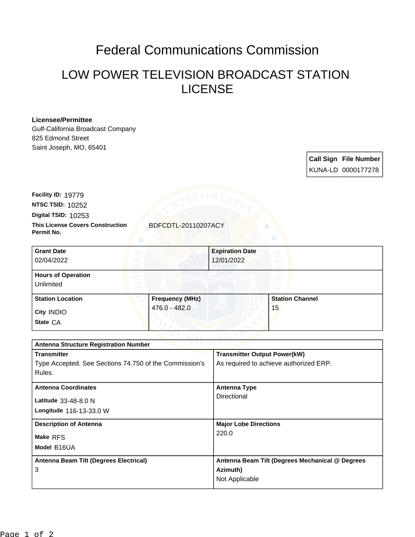## Federal Communications Commission

## LOW POWER TELEVISION BROADCAST STATION LICENSE

## **Licensee/Permittee**

Gulf-California Broadcast Company 825 Edmond Street Saint Joseph, MO, 65401

> **Call Sign File Number** KUNA-LD 0000177278

**NTSC TSID:** 10252 **Facility ID:** 19779

**Digital TSID:** 10253

**This License Covers Construction** BDFCDTL-20110207ACY **Permit No.**

| <b>Grant Date</b><br>02/04/2022        |                        | <b>Expiration Date</b><br>12/01/2022 |                        |  |
|----------------------------------------|------------------------|--------------------------------------|------------------------|--|
| <b>Hours of Operation</b><br>Unlimited |                        |                                      | L                      |  |
| <b>Station Location</b>                | <b>Frequency (MHz)</b> |                                      | <b>Station Channel</b> |  |
| City INDIO<br>State CA                 | 476.0 - 482.0          |                                      | 15                     |  |

| TVIL.ML<br><b>Antenna Structure Registration Number</b> |                                                 |  |  |  |
|---------------------------------------------------------|-------------------------------------------------|--|--|--|
| <b>Transmitter</b>                                      | <b>Transmitter Output Power(kW)</b>             |  |  |  |
| Type Accepted. See Sections 74.750 of the Commission's  | As required to achieve authorized ERP.          |  |  |  |
| Rules.                                                  |                                                 |  |  |  |
| <b>Antenna Coordinates</b>                              | <b>Antenna Type</b>                             |  |  |  |
|                                                         | Directional                                     |  |  |  |
| Latitude 33-48-8.0 N                                    |                                                 |  |  |  |
| <b>Longitude 116-13-33.0 W</b>                          |                                                 |  |  |  |
| <b>Description of Antenna</b>                           | <b>Major Lobe Directions</b>                    |  |  |  |
| Make RFS                                                | 220.0                                           |  |  |  |
| Model B16UA                                             |                                                 |  |  |  |
| Antenna Beam Tilt (Degrees Electrical)                  | Antenna Beam Tilt (Degrees Mechanical @ Degrees |  |  |  |
| 3                                                       | Azimuth)                                        |  |  |  |
|                                                         | Not Applicable                                  |  |  |  |